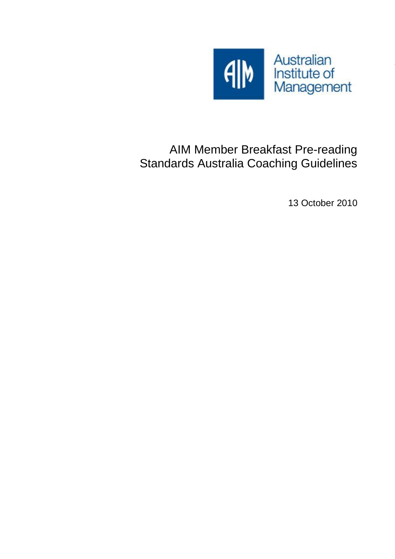

# AIM Member Breakfast Pre-reading Standards Australia Coaching Guidelines

13 October 2010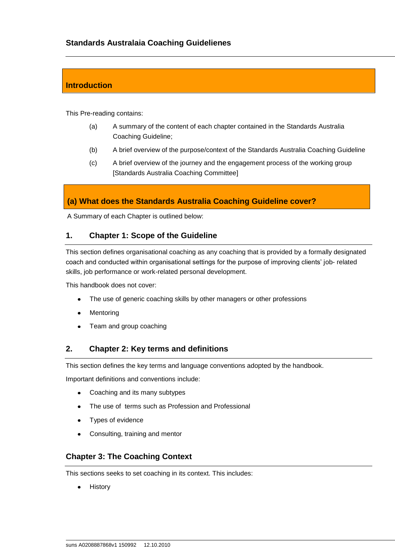## **Introduction**

This Pre-reading contains:

- (a) A summary of the content of each chapter contained in the Standards Australia Coaching Guideline;
- (b) A brief overview of the purpose/context of the Standards Australia Coaching Guideline
- (c) A brief overview of the journey and the engagement process of the working group [Standards Australia Coaching Committee]

## **(a) What does the Standards Australia Coaching Guideline cover?**

A Summary of each Chapter is outlined below:

#### **1. Chapter 1: Scope of the Guideline**

This section defines organisational coaching as any coaching that is provided by a formally designated coach and conducted within organisational settings for the purpose of improving clients' job- related skills, job performance or work-related personal development.

This handbook does not cover:

- The use of generic coaching skills by other managers or other professions  $\bullet$
- Mentoring
- Team and group coaching  $\bullet$

#### **2. Chapter 2: Key terms and definitions**

This section defines the key terms and language conventions adopted by the handbook.

Important definitions and conventions include:

- Coaching and its many subtypes
- The use of terms such as Profession and Professional
- Types of evidence
- Consulting, training and mentor

#### **Chapter 3: The Coaching Context**

This sections seeks to set coaching in its context. This includes:

**History**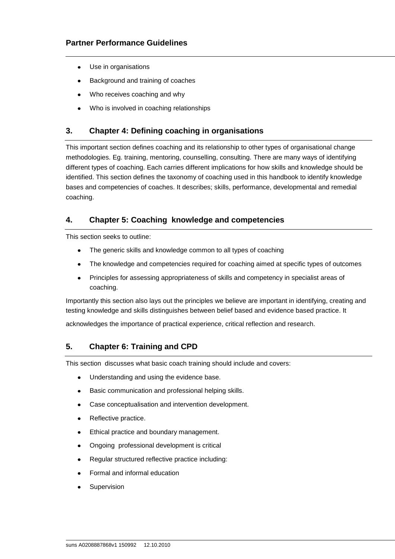- Use in organisations
- Background and training of coaches
- Who receives coaching and why
- Who is involved in coaching relationships

## **3. Chapter 4: Defining coaching in organisations**

This important section defines coaching and its relationship to other types of organisational change methodologies. Eg. training, mentoring, counselling, consulting. There are many ways of identifying different types of coaching. Each carries different implications for how skills and knowledge should be identified. This section defines the taxonomy of coaching used in this handbook to identify knowledge bases and competencies of coaches. It describes; skills, performance, developmental and remedial coaching.

## **4. Chapter 5: Coaching knowledge and competencies**

This section seeks to outline:

- The generic skills and knowledge common to all types of coaching
- The knowledge and competencies required for coaching aimed at specific types of outcomes
- Principles for assessing appropriateness of skills and competency in specialist areas of coaching.

Importantly this section also lays out the principles we believe are important in identifying, creating and testing knowledge and skills distinguishes between belief based and evidence based practice. It

acknowledges the importance of practical experience, critical reflection and research.

#### **5. Chapter 6: Training and CPD**

This section discusses what basic coach training should include and covers:

- Understanding and using the evidence base.  $\bullet$
- Basic communication and professional helping skills.
- Case conceptualisation and intervention development.
- Reflective practice.
- Ethical practice and boundary management.
- Ongoing professional development is critical
- Regular structured reflective practice including:
- Formal and informal education
- Supervision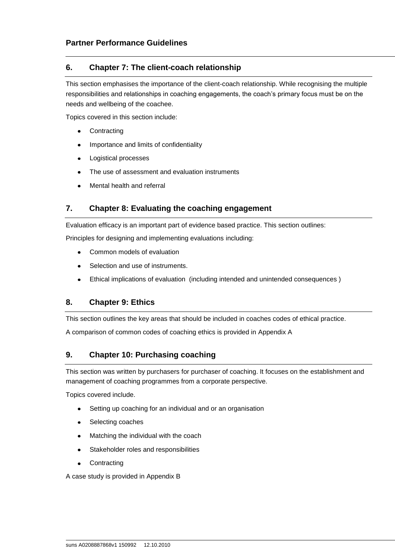## **6. Chapter 7: The client-coach relationship**

This section emphasises the importance of the client-coach relationship. While recognising the multiple responsibilities and relationships in coaching engagements, the coach's primary focus must be on the needs and wellbeing of the coachee.

Topics covered in this section include:

- **Contracting**
- Importance and limits of confidentiality
- Logistical processes
- The use of assessment and evaluation instruments
- Mental health and referral

## **7. Chapter 8: Evaluating the coaching engagement**

Evaluation efficacy is an important part of evidence based practice. This section outlines:

Principles for designing and implementing evaluations including:

- Common models of evaluation
- Selection and use of instruments.
- Ethical implications of evaluation (including intended and unintended consequences )

## **8. Chapter 9: Ethics**

This section outlines the key areas that should be included in coaches codes of ethical practice.

A comparison of common codes of coaching ethics is provided in Appendix A

## **9. Chapter 10: Purchasing coaching**

This section was written by purchasers for purchaser of coaching. It focuses on the establishment and management of coaching programmes from a corporate perspective.

Topics covered include.

- Setting up coaching for an individual and or an organisation  $\bullet$
- Selecting coaches
- Matching the individual with the coach
- Stakeholder roles and responsibilities
- **Contracting**  $\bullet$

A case study is provided in Appendix B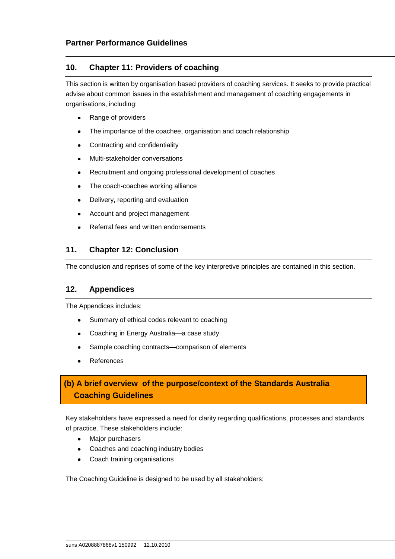#### **10. Chapter 11: Providers of coaching**

This section is written by organisation based providers of coaching services. It seeks to provide practical advise about common issues in the establishment and management of coaching engagements in organisations, including:

- Range of providers
- The importance of the coachee, organisation and coach relationship
- Contracting and confidentiality
- Multi-stakeholder conversations
- Recruitment and ongoing professional development of coaches
- The coach-coachee working alliance
- Delivery, reporting and evaluation
- Account and project management
- Referral fees and written endorsements

#### **11. Chapter 12: Conclusion**

The conclusion and reprises of some of the key interpretive principles are contained in this section.

#### **12. Appendices**

The Appendices includes:

- Summary of ethical codes relevant to coaching  $\bullet$
- Coaching in Energy Australia—a case study
- Sample coaching contracts—comparison of elements
- References

## **(b) A brief overview of the purpose/context of the Standards Australia Coaching Guidelines**

Key stakeholders have expressed a need for clarity regarding qualifications, processes and standards of practice. These stakeholders include:

- $\bullet$ Major purchasers
- Coaches and coaching industry bodies
- Coach training organisations  $\bullet$

The Coaching Guideline is designed to be used by all stakeholders: